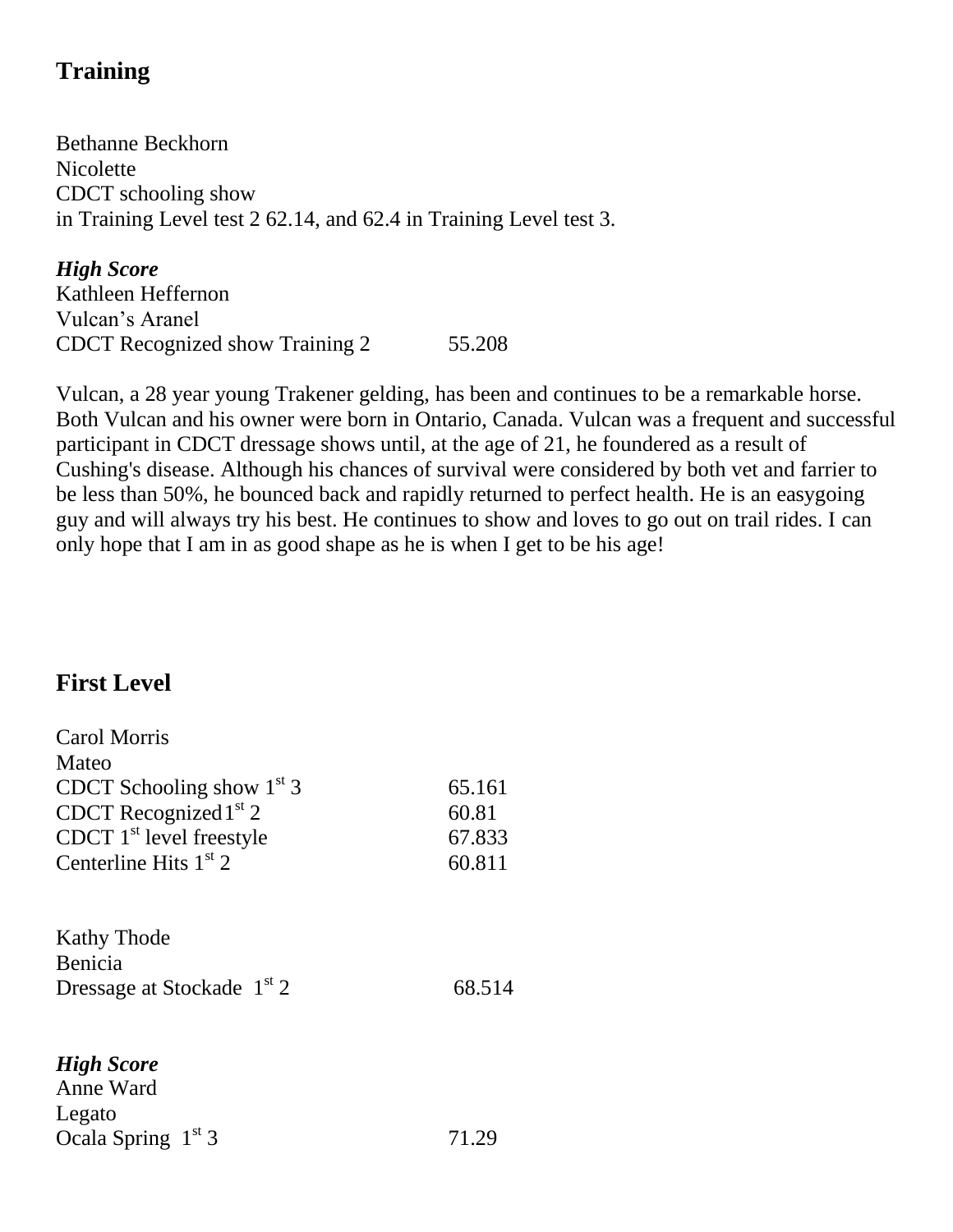# **Training**

Bethanne Beckhorn **Nicolette** CDCT schooling show in Training Level test 2 62.14, and 62.4 in Training Level test 3.

*High Score* Kathleen Heffernon Vulcan's Aranel CDCT Recognized show Training 2 55.208

Vulcan, a 28 year young Trakener gelding, has been and continues to be a remarkable horse. Both Vulcan and his owner were born in Ontario, Canada. Vulcan was a frequent and successful participant in CDCT dressage shows until, at the age of 21, he foundered as a result of Cushing's disease. Although his chances of survival were considered by both vet and farrier to be less than 50%, he bounced back and rapidly returned to perfect health. He is an easygoing guy and will always try his best. He continues to show and loves to go out on trail rides. I can only hope that I am in as good shape as he is when I get to be his age!

## **First Level**

| <b>Carol Morris</b>                    |        |
|----------------------------------------|--------|
| Mateo                                  |        |
| CDCT Schooling show $1st$ 3            | 65.161 |
| CDCT Recognized $1st$ 2                | 60.81  |
| CDCT $1st$ level freestyle             | 67.833 |
| Centerline Hits $1st$ 2                | 60.811 |
| <b>Kathy Thode</b><br>Benicia          |        |
| Dressage at Stockade 1 <sup>st</sup> 2 | 68.514 |
| <b>High Score</b>                      |        |
| Anne Ward                              |        |
| Legato                                 |        |

Ocala Spring  $1^{st}$  3 71.29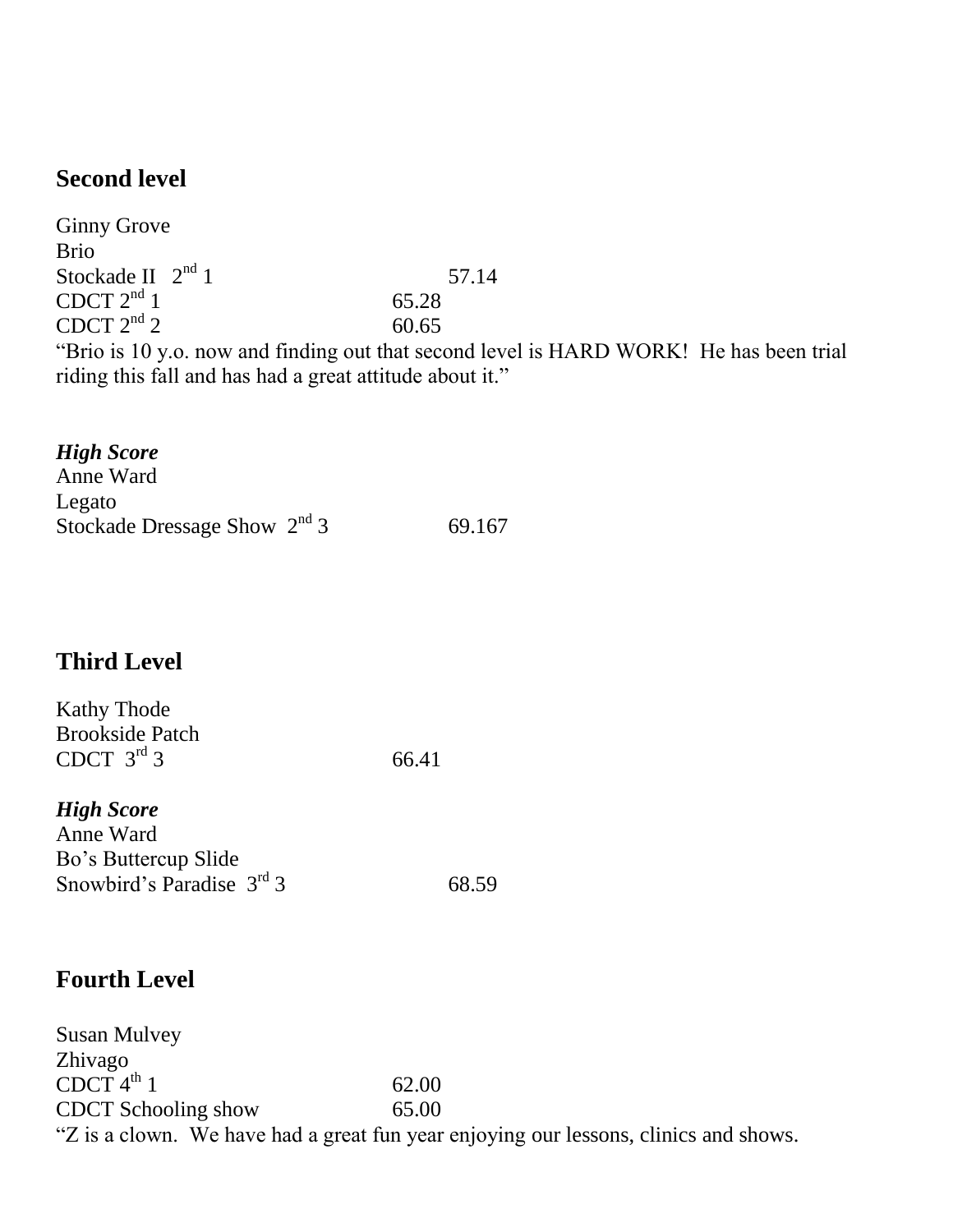## **Second level**

Ginny Grove Brio Stockade II  $2<sup>nd</sup> 1$  57.14 CDCT  $2^{nd}$  1 65.28 CDCT  $2^{nd}$  2 60.65 "Brio is 10 y.o. now and finding out that second level is HARD WORK! He has been trial riding this fall and has had a great attitude about it."

#### *High Score* Anne Ward Legato Stockade Dressage Show  $2<sup>nd</sup> 3$  69.167

## **Third Level**

| <b>Kathy Thode</b>     |       |
|------------------------|-------|
| <b>Brookside Patch</b> |       |
| CDCT $3^{\text{rd}}$ 3 | 66.41 |

#### *High Score* Anne Ward Bo's Buttercup Slide Snowbird's Paradise  $3<sup>rd</sup>$  3 68.59

## **Fourth Level**

Susan Mulvey Zhivago  $CDCT 4<sup>th</sup> 1$  62.00 CDCT Schooling show 65.00 "Z is a clown. We have had a great fun year enjoying our lessons, clinics and shows.